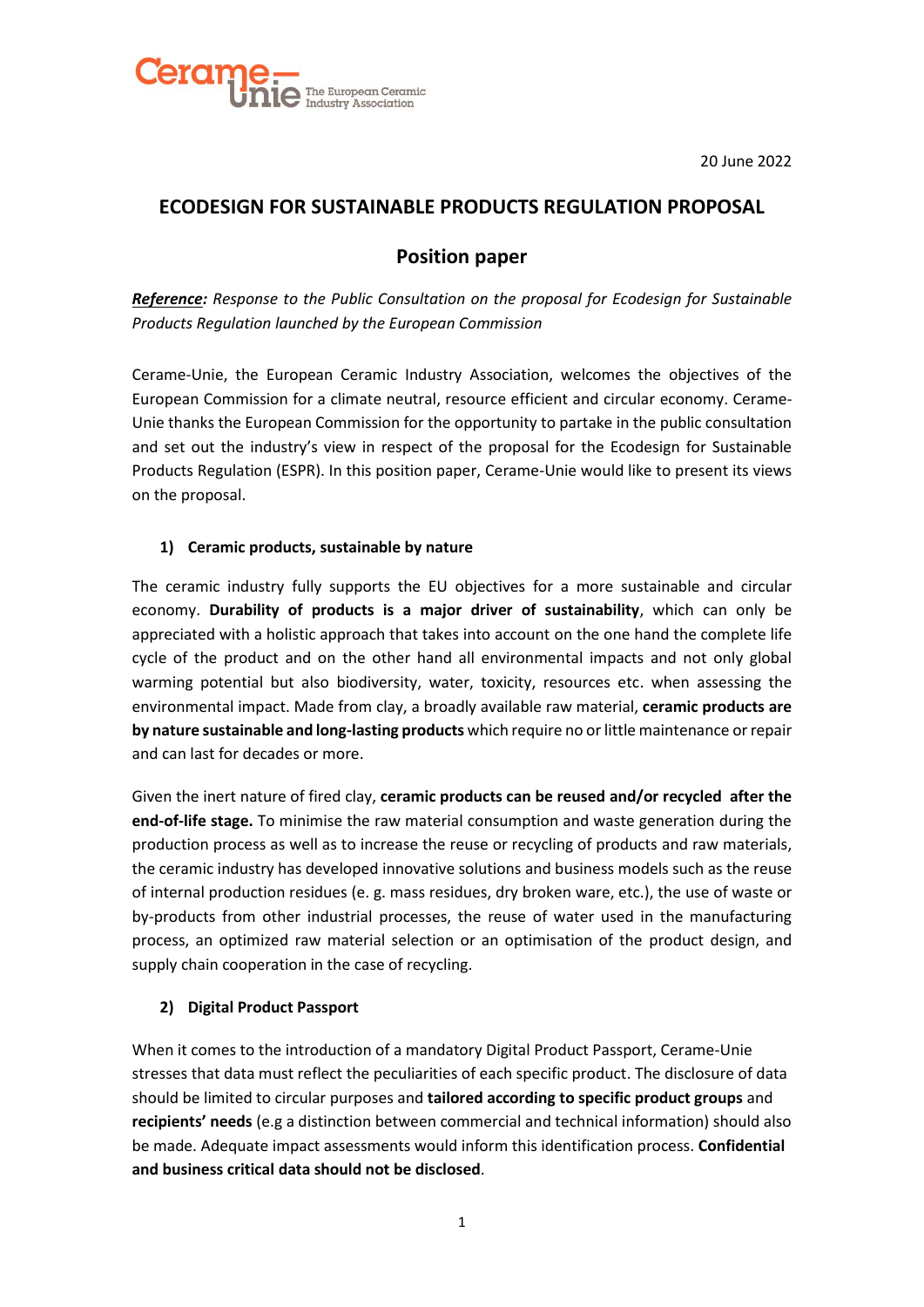



## **ECODESIGN FOR SUSTAINABLE PRODUCTS REGULATION PROPOSAL**

### **Position paper**

*Reference: Response to the Public Consultation on the proposal for Ecodesign for Sustainable Products Regulation launched by the European Commission*

Cerame-Unie, the European Ceramic Industry Association, welcomes the objectives of the European Commission for a climate neutral, resource efficient and circular economy. Cerame-Unie thanks the European Commission for the opportunity to partake in the public consultation and set out the industry's view in respect of the proposal for the Ecodesign for Sustainable Products Regulation (ESPR). In this position paper, Cerame-Unie would like to present its views on the proposal.

#### **1) Ceramic products, sustainable by nature**

The ceramic industry fully supports the EU objectives for a more sustainable and circular economy. **Durability of products is a major driver of sustainability**, which can only be appreciated with a holistic approach that takes into account on the one hand the complete life cycle of the product and on the other hand all environmental impacts and not only global warming potential but also biodiversity, water, toxicity, resources etc. when assessing the environmental impact. Made from clay, a broadly available raw material, **ceramic products are by nature sustainable and long-lasting products** which require no or little maintenance or repair and can last for decades or more.

Given the inert nature of fired clay, **ceramic products can be reused and/or recycled after the end-of-life stage.** To minimise the raw material consumption and waste generation during the production process as well as to increase the reuse or recycling of products and raw materials, the ceramic industry has developed innovative solutions and business models such as the reuse of internal production residues (e. g. mass residues, dry broken ware, etc.), the use of waste or by-products from other industrial processes, the reuse of water used in the manufacturing process, an optimized raw material selection or an optimisation of the product design, and supply chain cooperation in the case of recycling.

#### **2) Digital Product Passport**

When it comes to the introduction of a mandatory Digital Product Passport, Cerame-Unie stresses that data must reflect the peculiarities of each specific product. The disclosure of data should be limited to circular purposes and **tailored according to specific product groups** and **recipients' needs** (e.g a distinction between commercial and technical information) should also be made. Adequate impact assessments would inform this identification process. **Confidential and business critical data should not be disclosed**.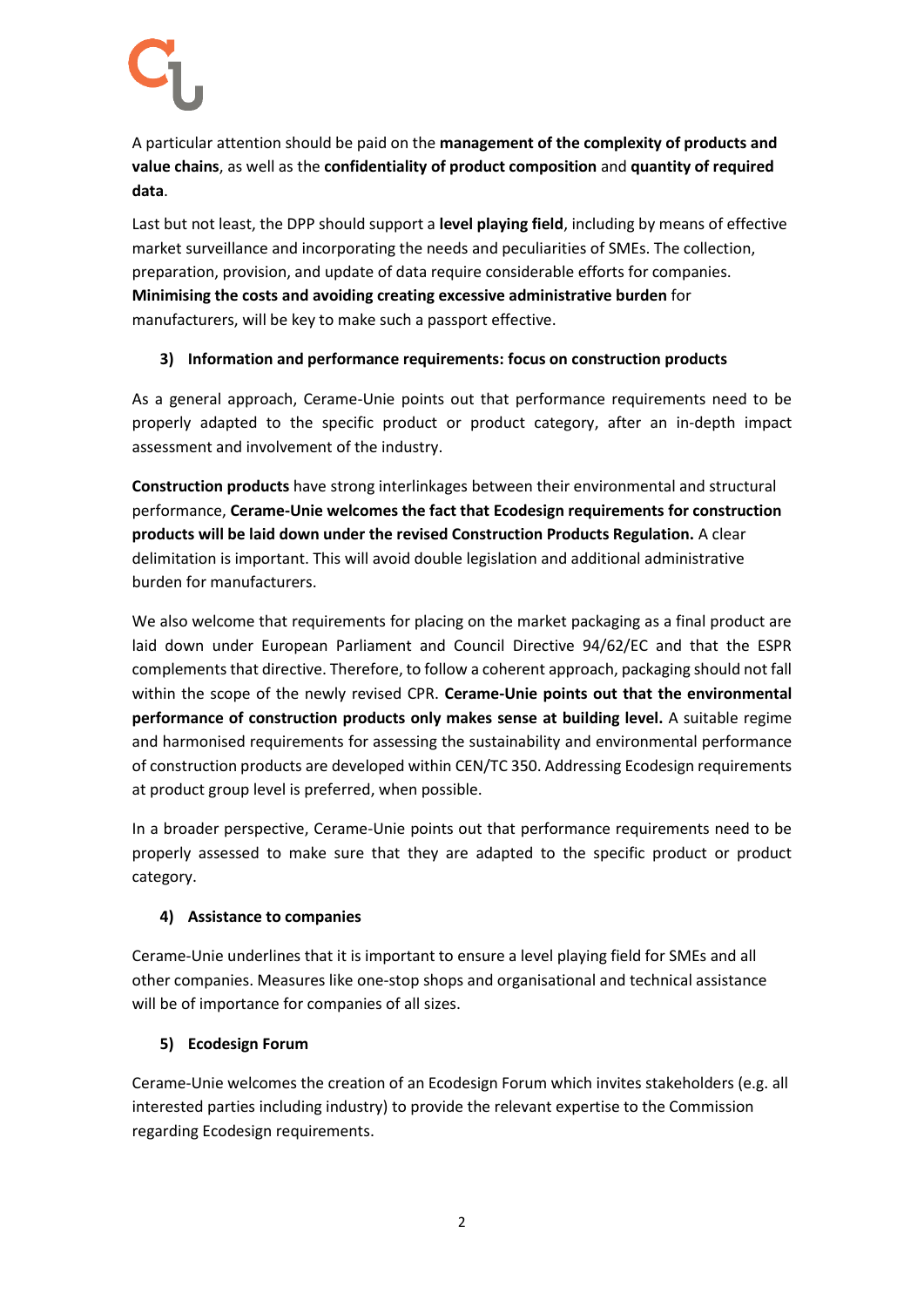A particular attention should be paid on the **management of the complexity of products and value chains**, as well as the **confidentiality of product composition** and **quantity of required data**.

Last but not least, the DPP should support a **level playing field**, including by means of effective market surveillance and incorporating the needs and peculiarities of SMEs. The collection, preparation, provision, and update of data require considerable efforts for companies. **Minimising the costs and avoiding creating excessive administrative burden** for manufacturers, will be key to make such a passport effective.

#### **3) Information and performance requirements: focus on construction products**

As a general approach, Cerame-Unie points out that performance requirements need to be properly adapted to the specific product or product category, after an in-depth impact assessment and involvement of the industry.

**Construction products** have strong interlinkages between their environmental and structural performance, **Cerame-Unie welcomes the fact that Ecodesign requirements for construction products will be laid down under the revised Construction Products Regulation.** A clear delimitation is important. This will avoid double legislation and additional administrative burden for manufacturers.

We also welcome that requirements for placing on the market packaging as a final product are laid down under European Parliament and Council Directive 94/62/EC and that the ESPR complements that directive. Therefore, to follow a coherent approach, packaging should not fall within the scope of the newly revised CPR. **Cerame-Unie points out that the environmental performance of construction products only makes sense at building level.** A suitable regime and harmonised requirements for assessing the sustainability and environmental performance of construction products are developed within CEN/TC 350. Addressing Ecodesign requirements at product group level is preferred, when possible.

In a broader perspective, Cerame-Unie points out that performance requirements need to be properly assessed to make sure that they are adapted to the specific product or product category.

#### **4) Assistance to companies**

Cerame-Unie underlines that it is important to ensure a level playing field for SMEs and all other companies. Measures like one-stop shops and organisational and technical assistance will be of importance for companies of all sizes.

#### **5) Ecodesign Forum**

Cerame-Unie welcomes the creation of an Ecodesign Forum which invites stakeholders (e.g. all interested parties including industry) to provide the relevant expertise to the Commission regarding Ecodesign requirements.